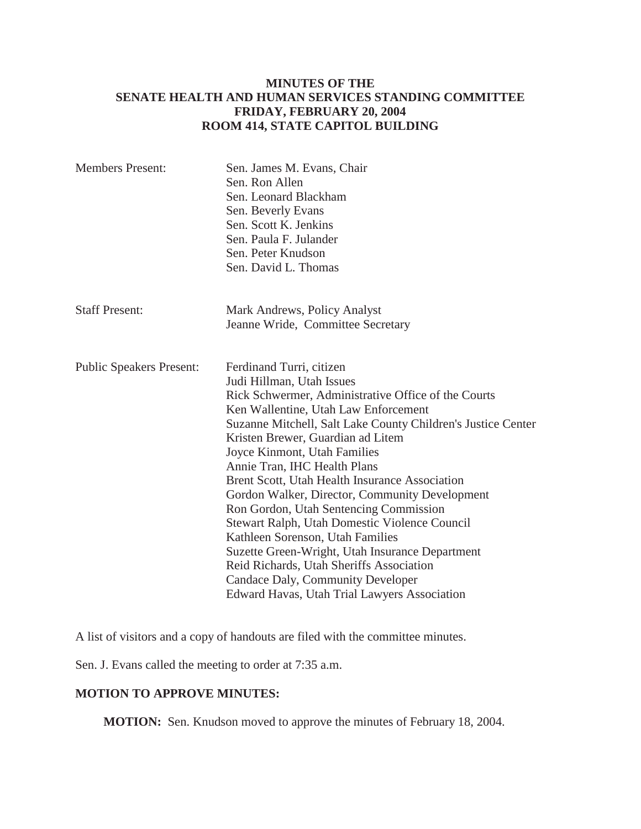### **MINUTES OF THE SENATE HEALTH AND HUMAN SERVICES STANDING COMMITTEE FRIDAY, FEBRUARY 20, 2004 ROOM 414, STATE CAPITOL BUILDING**

| <b>Members Present:</b>         | Sen. James M. Evans, Chair<br>Sen. Ron Allen<br>Sen. Leonard Blackham<br>Sen. Beverly Evans<br>Sen. Scott K. Jenkins<br>Sen. Paula F. Julander<br>Sen. Peter Knudson<br>Sen. David L. Thomas                                                                                                                                                                                                                                                                                                                                                                                                                                                                                                                                                     |
|---------------------------------|--------------------------------------------------------------------------------------------------------------------------------------------------------------------------------------------------------------------------------------------------------------------------------------------------------------------------------------------------------------------------------------------------------------------------------------------------------------------------------------------------------------------------------------------------------------------------------------------------------------------------------------------------------------------------------------------------------------------------------------------------|
| <b>Staff Present:</b>           | Mark Andrews, Policy Analyst<br>Jeanne Wride, Committee Secretary                                                                                                                                                                                                                                                                                                                                                                                                                                                                                                                                                                                                                                                                                |
| <b>Public Speakers Present:</b> | Ferdinand Turri, citizen<br>Judi Hillman, Utah Issues<br>Rick Schwermer, Administrative Office of the Courts<br>Ken Wallentine, Utah Law Enforcement<br>Suzanne Mitchell, Salt Lake County Children's Justice Center<br>Kristen Brewer, Guardian ad Litem<br>Joyce Kinmont, Utah Families<br>Annie Tran, IHC Health Plans<br>Brent Scott, Utah Health Insurance Association<br>Gordon Walker, Director, Community Development<br>Ron Gordon, Utah Sentencing Commission<br>Stewart Ralph, Utah Domestic Violence Council<br>Kathleen Sorenson, Utah Families<br>Suzette Green-Wright, Utah Insurance Department<br>Reid Richards, Utah Sheriffs Association<br>Candace Daly, Community Developer<br>Edward Havas, Utah Trial Lawyers Association |

A list of visitors and a copy of handouts are filed with the committee minutes.

Sen. J. Evans called the meeting to order at 7:35 a.m.

#### **MOTION TO APPROVE MINUTES:**

**MOTION:** Sen. Knudson moved to approve the minutes of February 18, 2004.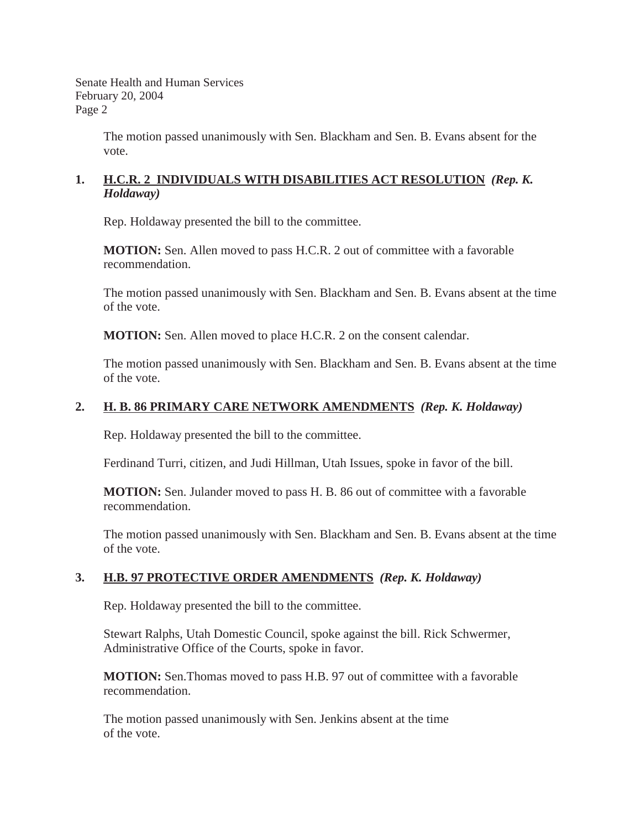> The motion passed unanimously with Sen. Blackham and Sen. B. Evans absent for the vote.

#### **1. H.C.R. 2 INDIVIDUALS WITH DISABILITIES ACT RESOLUTION** *(Rep. K. Holdaway)*

Rep. Holdaway presented the bill to the committee.

**MOTION:** Sen. Allen moved to pass H.C.R. 2 out of committee with a favorable recommendation.

The motion passed unanimously with Sen. Blackham and Sen. B. Evans absent at the time of the vote.

**MOTION:** Sen. Allen moved to place H.C.R. 2 on the consent calendar.

The motion passed unanimously with Sen. Blackham and Sen. B. Evans absent at the time of the vote.

### **2. H. B. 86 PRIMARY CARE NETWORK AMENDMENTS** *(Rep. K. Holdaway)*

Rep. Holdaway presented the bill to the committee.

Ferdinand Turri, citizen, and Judi Hillman, Utah Issues, spoke in favor of the bill.

**MOTION:** Sen. Julander moved to pass H. B. 86 out of committee with a favorable recommendation.

The motion passed unanimously with Sen. Blackham and Sen. B. Evans absent at the time of the vote.

### **3. H.B. 97 PROTECTIVE ORDER AMENDMENTS** *(Rep. K. Holdaway)*

Rep. Holdaway presented the bill to the committee.

Stewart Ralphs, Utah Domestic Council, spoke against the bill. Rick Schwermer, Administrative Office of the Courts, spoke in favor.

**MOTION:** Sen.Thomas moved to pass H.B. 97 out of committee with a favorable recommendation.

The motion passed unanimously with Sen. Jenkins absent at the time of the vote.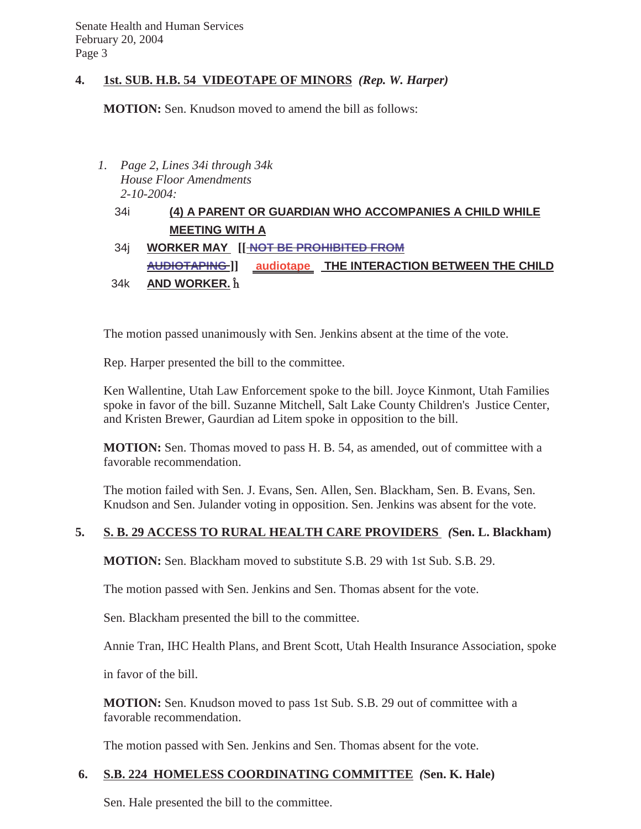### **4. 1st. SUB. H.B. 54 VIDEOTAPE OF MINORS** *(Rep. W. Harper)*

**MOTION:** Sen. Knudson moved to amend the bill as follows:

*1. Page 2, Lines 34i through 34k House Floor Amendments 2-10-2004:*

# 34i **(4) A PARENT OR GUARDIAN WHO ACCOMPANIES A CHILD WHILE MEETING WITH A**

### 34j **WORKER MAY [[ NOT BE PROHIBITED FROM**

**AUDIOTAPING ]] audiotape THE INTERACTION BETWEEN THE CHILD** 34k **AND WORKER.**  $\hat{\mathbf{h}}$ 

The motion passed unanimously with Sen. Jenkins absent at the time of the vote.

Rep. Harper presented the bill to the committee.

Ken Wallentine, Utah Law Enforcement spoke to the bill. Joyce Kinmont, Utah Families spoke in favor of the bill. Suzanne Mitchell, Salt Lake County Children's Justice Center, and Kristen Brewer, Gaurdian ad Litem spoke in opposition to the bill.

**MOTION:** Sen. Thomas moved to pass H. B. 54, as amended, out of committee with a favorable recommendation.

The motion failed with Sen. J. Evans, Sen. Allen, Sen. Blackham, Sen. B. Evans, Sen. Knudson and Sen. Julander voting in opposition. Sen. Jenkins was absent for the vote.

### **5. S. B. 29 ACCESS TO RURAL HEALTH CARE PROVIDERS** *(***Sen. L. Blackham)**

**MOTION:** Sen. Blackham moved to substitute S.B. 29 with 1st Sub. S.B. 29.

The motion passed with Sen. Jenkins and Sen. Thomas absent for the vote.

Sen. Blackham presented the bill to the committee.

Annie Tran, IHC Health Plans, and Brent Scott, Utah Health Insurance Association, spoke

in favor of the bill.

**MOTION:** Sen. Knudson moved to pass 1st Sub. S.B. 29 out of committee with a favorable recommendation.

The motion passed with Sen. Jenkins and Sen. Thomas absent for the vote.

### **6. S.B. 224 HOMELESS COORDINATING COMMITTEE** *(***Sen. K. Hale)**

Sen. Hale presented the bill to the committee.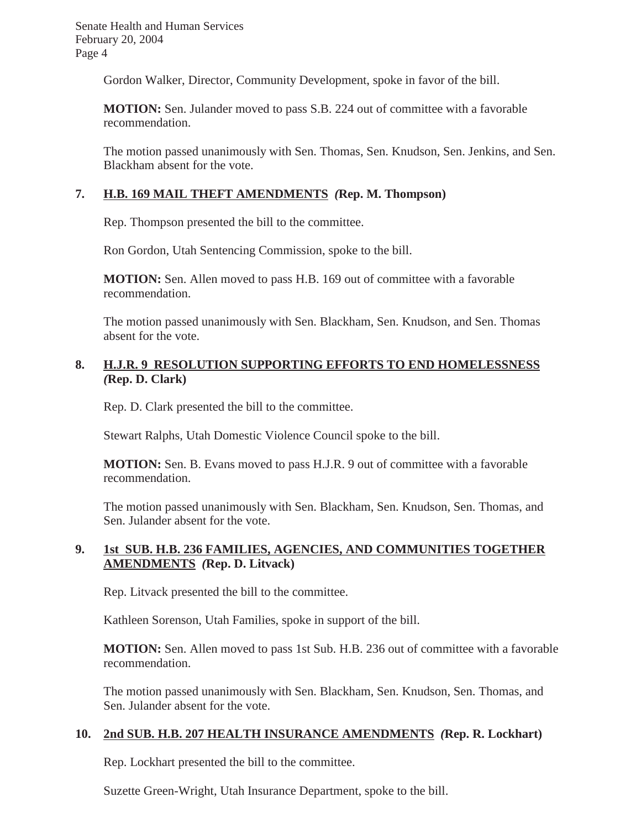Gordon Walker, Director, Community Development, spoke in favor of the bill.

**MOTION:** Sen. Julander moved to pass S.B. 224 out of committee with a favorable recommendation.

The motion passed unanimously with Sen. Thomas, Sen. Knudson, Sen. Jenkins, and Sen. Blackham absent for the vote.

# **7. H.B. 169 MAIL THEFT AMENDMENTS** *(***Rep. M. Thompson)**

Rep. Thompson presented the bill to the committee.

Ron Gordon, Utah Sentencing Commission, spoke to the bill.

**MOTION:** Sen. Allen moved to pass H.B. 169 out of committee with a favorable recommendation.

The motion passed unanimously with Sen. Blackham, Sen. Knudson, and Sen. Thomas absent for the vote.

### **8. H.J.R. 9 RESOLUTION SUPPORTING EFFORTS TO END HOMELESSNESS** *(***Rep. D. Clark)**

Rep. D. Clark presented the bill to the committee.

Stewart Ralphs, Utah Domestic Violence Council spoke to the bill.

**MOTION:** Sen. B. Evans moved to pass H.J.R. 9 out of committee with a favorable recommendation.

The motion passed unanimously with Sen. Blackham, Sen. Knudson, Sen. Thomas, and Sen. Julander absent for the vote.

### **9. 1st SUB. H.B. 236 FAMILIES, AGENCIES, AND COMMUNITIES TOGETHER AMENDMENTS** *(***Rep. D. Litvack)**

Rep. Litvack presented the bill to the committee.

Kathleen Sorenson, Utah Families, spoke in support of the bill.

**MOTION:** Sen. Allen moved to pass 1st Sub. H.B. 236 out of committee with a favorable recommendation.

The motion passed unanimously with Sen. Blackham, Sen. Knudson, Sen. Thomas, and Sen. Julander absent for the vote.

# **10. 2nd SUB. H.B. 207 HEALTH INSURANCE AMENDMENTS** *(***Rep. R. Lockhart)**

Rep. Lockhart presented the bill to the committee.

Suzette Green-Wright, Utah Insurance Department, spoke to the bill.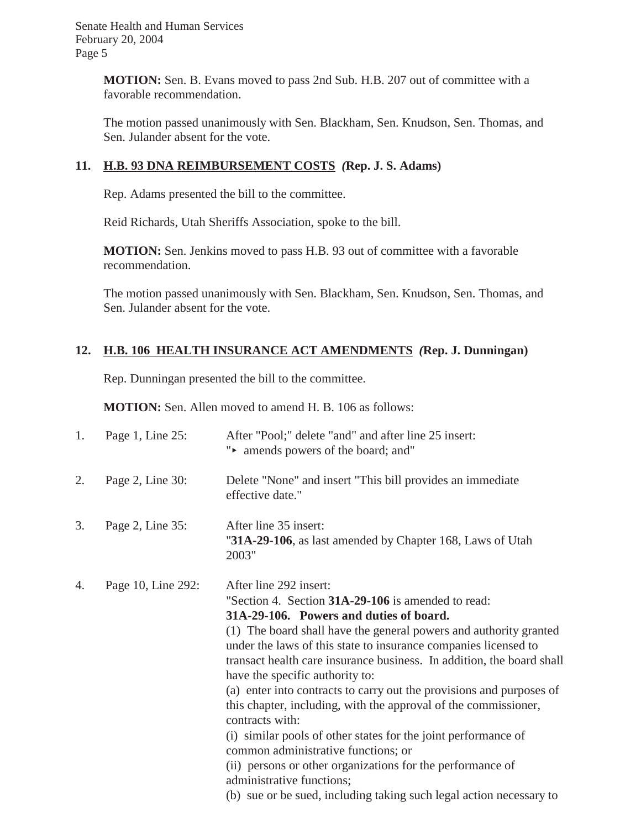**MOTION:** Sen. B. Evans moved to pass 2nd Sub. H.B. 207 out of committee with a favorable recommendation.

The motion passed unanimously with Sen. Blackham, Sen. Knudson, Sen. Thomas, and Sen. Julander absent for the vote.

# **11. H.B. 93 DNA REIMBURSEMENT COSTS** *(***Rep. J. S. Adams)**

Rep. Adams presented the bill to the committee.

Reid Richards, Utah Sheriffs Association, spoke to the bill.

**MOTION:** Sen. Jenkins moved to pass H.B. 93 out of committee with a favorable recommendation.

The motion passed unanimously with Sen. Blackham, Sen. Knudson, Sen. Thomas, and Sen. Julander absent for the vote.

# **12. H.B. 106 HEALTH INSURANCE ACT AMENDMENTS** *(***Rep. J. Dunningan)**

Rep. Dunningan presented the bill to the committee.

**MOTION:** Sen. Allen moved to amend H. B. 106 as follows:

| 1. | Page 1, Line 25:   | After "Pool;" delete "and" and after line 25 insert:<br>"• amends powers of the board; and"                                                                                                                                                                                                                                                                                                                                                                                                                                                                                                                                                                                                                                                                                                                          |
|----|--------------------|----------------------------------------------------------------------------------------------------------------------------------------------------------------------------------------------------------------------------------------------------------------------------------------------------------------------------------------------------------------------------------------------------------------------------------------------------------------------------------------------------------------------------------------------------------------------------------------------------------------------------------------------------------------------------------------------------------------------------------------------------------------------------------------------------------------------|
| 2. | Page 2, Line 30:   | Delete "None" and insert "This bill provides an immediate<br>effective date."                                                                                                                                                                                                                                                                                                                                                                                                                                                                                                                                                                                                                                                                                                                                        |
| 3. | Page 2, Line 35:   | After line 35 insert:<br>"31A-29-106, as last amended by Chapter 168, Laws of Utah<br>2003"                                                                                                                                                                                                                                                                                                                                                                                                                                                                                                                                                                                                                                                                                                                          |
| 4. | Page 10, Line 292: | After line 292 insert:<br>"Section 4. Section 31A-29-106 is amended to read:<br>31A-29-106. Powers and duties of board.<br>(1) The board shall have the general powers and authority granted<br>under the laws of this state to insurance companies licensed to<br>transact health care insurance business. In addition, the board shall<br>have the specific authority to:<br>(a) enter into contracts to carry out the provisions and purposes of<br>this chapter, including, with the approval of the commissioner,<br>contracts with:<br>(i) similar pools of other states for the joint performance of<br>common administrative functions; or<br>(ii) persons or other organizations for the performance of<br>administrative functions;<br>(b) sue or be sued, including taking such legal action necessary to |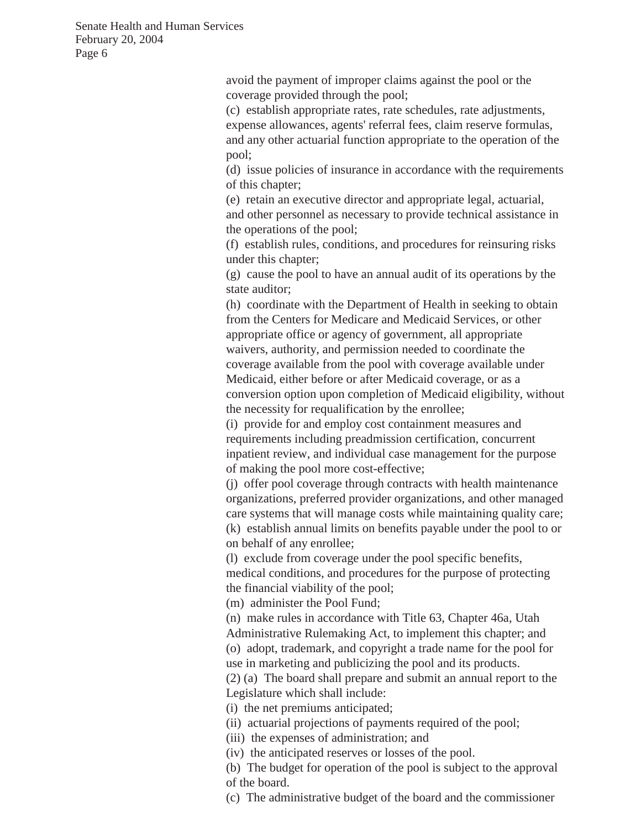> avoid the payment of improper claims against the pool or the coverage provided through the pool;

(c) establish appropriate rates, rate schedules, rate adjustments, expense allowances, agents' referral fees, claim reserve formulas, and any other actuarial function appropriate to the operation of the pool;

(d) issue policies of insurance in accordance with the requirements of this chapter;

(e) retain an executive director and appropriate legal, actuarial, and other personnel as necessary to provide technical assistance in the operations of the pool;

(f) establish rules, conditions, and procedures for reinsuring risks under this chapter;

(g) cause the pool to have an annual audit of its operations by the state auditor;

(h) coordinate with the Department of Health in seeking to obtain from the Centers for Medicare and Medicaid Services, or other appropriate office or agency of government, all appropriate waivers, authority, and permission needed to coordinate the coverage available from the pool with coverage available under Medicaid, either before or after Medicaid coverage, or as a conversion option upon completion of Medicaid eligibility, without the necessity for requalification by the enrollee;

(i) provide for and employ cost containment measures and requirements including preadmission certification, concurrent inpatient review, and individual case management for the purpose of making the pool more cost-effective;

(j) offer pool coverage through contracts with health maintenance organizations, preferred provider organizations, and other managed care systems that will manage costs while maintaining quality care; (k) establish annual limits on benefits payable under the pool to or on behalf of any enrollee;

(l) exclude from coverage under the pool specific benefits, medical conditions, and procedures for the purpose of protecting the financial viability of the pool;

(m) administer the Pool Fund;

(n) make rules in accordance with Title 63, Chapter 46a, Utah Administrative Rulemaking Act, to implement this chapter; and (o) adopt, trademark, and copyright a trade name for the pool for use in marketing and publicizing the pool and its products.

(2) (a) The board shall prepare and submit an annual report to the Legislature which shall include:

(i) the net premiums anticipated;

(ii) actuarial projections of payments required of the pool;

(iii) the expenses of administration; and

(iv) the anticipated reserves or losses of the pool.

(b) The budget for operation of the pool is subject to the approval of the board.

(c) The administrative budget of the board and the commissioner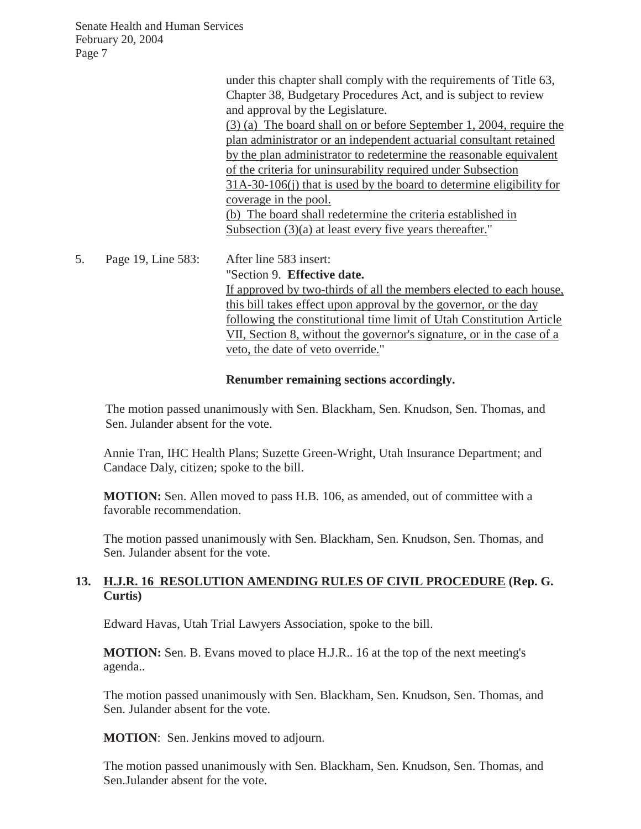|    |                    | under this chapter shall comply with the requirements of Title 63,                                                                 |
|----|--------------------|------------------------------------------------------------------------------------------------------------------------------------|
|    |                    | Chapter 38, Budgetary Procedures Act, and is subject to review<br>and approval by the Legislature.                                 |
|    |                    | (3) (a) The board shall on or before September 1, 2004, require the                                                                |
|    |                    | plan administrator or an independent actuarial consultant retained                                                                 |
|    |                    | by the plan administrator to redetermine the reasonable equivalent<br>of the criteria for uninsurability required under Subsection |
|    |                    | 31A-30-106(j) that is used by the board to determine eligibility for                                                               |
|    |                    | coverage in the pool.                                                                                                              |
|    |                    | (b) The board shall redetermine the criteria established in                                                                        |
|    |                    | Subsection $(3)(a)$ at least every five years thereafter."                                                                         |
| 5. | Page 19, Line 583: | After line 583 insert:                                                                                                             |
|    |                    | "Section 9. Effective date.                                                                                                        |
|    |                    | If approved by two-thirds of all the members elected to each house.                                                                |
|    |                    | this bill takes effect upon approval by the governor, or the day                                                                   |
|    |                    | following the constitutional time limit of Utah Constitution Article                                                               |
|    |                    | VII, Section 8, without the governor's signature, or in the case of a                                                              |
|    |                    | veto, the date of veto override."                                                                                                  |

#### **Renumber remaining sections accordingly.**

The motion passed unanimously with Sen. Blackham, Sen. Knudson, Sen. Thomas, and Sen. Julander absent for the vote.

Annie Tran, IHC Health Plans; Suzette Green-Wright, Utah Insurance Department; and Candace Daly, citizen; spoke to the bill.

**MOTION:** Sen. Allen moved to pass H.B. 106, as amended, out of committee with a favorable recommendation.

The motion passed unanimously with Sen. Blackham, Sen. Knudson, Sen. Thomas, and Sen. Julander absent for the vote.

#### **13. H.J.R. 16 RESOLUTION AMENDING RULES OF CIVIL PROCEDURE (Rep. G. Curtis)**

Edward Havas, Utah Trial Lawyers Association, spoke to the bill.

**MOTION:** Sen. B. Evans moved to place H.J.R.. 16 at the top of the next meeting's agenda..

The motion passed unanimously with Sen. Blackham, Sen. Knudson, Sen. Thomas, and Sen. Julander absent for the vote.

**MOTION**: Sen. Jenkins moved to adjourn.

The motion passed unanimously with Sen. Blackham, Sen. Knudson, Sen. Thomas, and Sen.Julander absent for the vote.